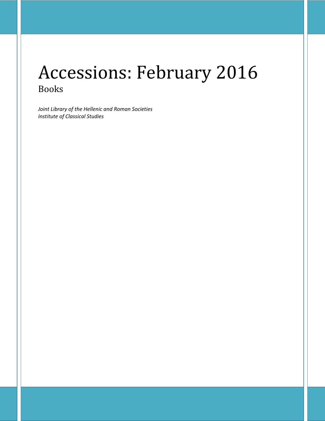# Accessions: February 2016 Books

*Joint Library of the Hellenic and Roman Societies Institute of Classical Studies*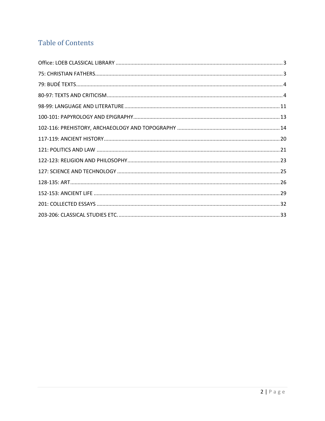## **Table of Contents**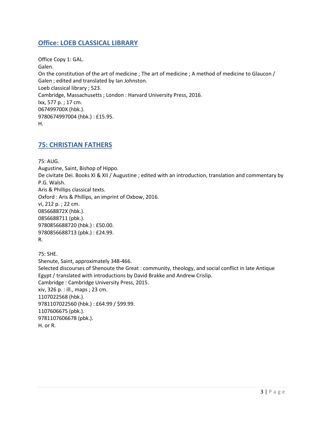## <span id="page-2-0"></span>**Office: LOEB CLASSICAL LIBRARY**

Office Copy 1: GAL. Galen. On the constitution of the art of medicine ; The art of medicine ; A method of medicine to Glaucon / Galen ; edited and translated by Ian Johnston. Loeb classical library ; 523. Cambridge, Massachusetts ; London : Harvard University Press, 2016. lxx, 577 p. ; 17 cm. 067499700X (hbk.). 9780674997004 (hbk.) : £15.95. H.

## <span id="page-2-1"></span>**75: CHRISTIAN FATHERS**

75: AUG. Augustine, Saint, Bishop of Hippo. De civitate Dei. Books XI & XII / Augustine ; edited with an introduction, translation and commentary by P.G. Walsh. Aris & Phillips classical texts. Oxford : Aris & Phillips, an imprint of Oxbow, 2016. vi, 212 p. ; 22 cm. 085668872X (hbk.). 0856688711 (pbk.). 9780856688720 (hbk.) : £50.00. 9780856688713 (pbk.) : £24.99. R.

75: SHE. Shenute, Saint, approximately 348-466. Selected discourses of Shenoute the Great : community, theology, and social conflict in late Antique Egypt / translated with introductions by David Brakke and Andrew Crislip. Cambridge : Cambridge University Press, 2015. xiv, 326 p. : ill., maps ; 23 cm. 1107022568 (hbk.). 9781107022560 (hbk.) : £64.99 / \$99.99. 1107606675 (pbk.). 9781107606678 (pbk.). H. or R.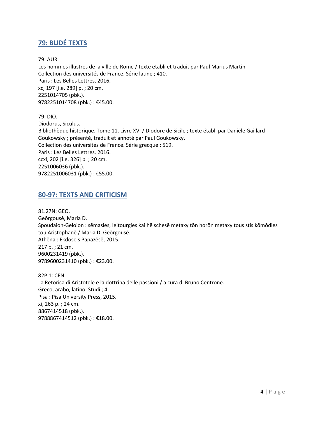## <span id="page-3-0"></span>**79: BUDÉ TEXTS**

79: AUR.

Les hommes illustres de la ville de Rome / texte établi et traduit par Paul Marius Martin. Collection des universités de France. Série latine ; 410. Paris : Les Belles Lettres, 2016. xc, 197 [i.e. 289] p. ; 20 cm. 2251014705 (pbk.). 9782251014708 (pbk.) : €45.00.

79: DIO. Diodorus, Siculus. Bibliothèque historique. Tome 11, Livre XVI / Diodore de Sicile ; texte établi par Danièle Gaillard-Goukowsky ; présenté, traduit et annoté par Paul Goukowsky. Collection des universités de France. Série grecque ; 519. Paris : Les Belles Lettres, 2016. ccxl, 202 [i.e. 326] p. ; 20 cm. 2251006036 (pbk.). 9782251006031 (pbk.) : €55.00.

#### <span id="page-3-1"></span>**80-97: TEXTS AND CRITICISM**

81.27N: GEO. Geōrgousē, Maria D. Spoudaion-Geloion : sēmasies, leitourgies kai hē schesē metaxy tōn horōn metaxy tous stis kōmōdies tou Aristophanē / Maria D. Geōrgousē. Athēna : Ekdoseis Papazēsē, 2015. 217 p. ; 21 cm. 9600231419 (pbk.). 9789600231410 (pbk.) : €23.00.

82P.1: CEN. La Retorica di Aristotele e la dottrina delle passioni / a cura di Bruno Centrone. Greco, arabo, latino. Studi ; 4. Pisa : Pisa University Press, 2015. xi, 263 p. ; 24 cm. 8867414518 (pbk.). 9788867414512 (pbk.) : €18.00.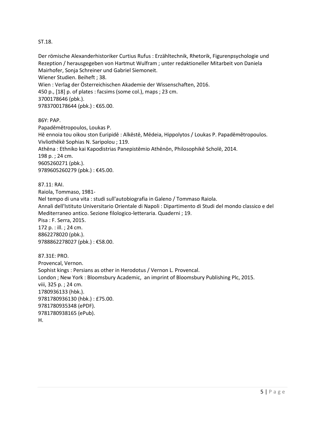#### ST.18.

Der römische Alexanderhistoriker Curtius Rufus : Erzähltechnik, Rhetorik, Figurenpsychologie und Rezeption / herausgegeben von Hartmut Wulfram ; unter redaktioneller Mitarbeit von Daniela Mairhofer, Sonja Schreiner und Gabriel Siemoneit. Wiener Studien. Beiheft ; 38. Wien : Verlag der Österreichischen Akademie der Wissenschaften, 2016. 450 p., [18] p. of plates : facsims (some col.), maps ; 23 cm. 3700178646 (pbk.). 9783700178644 (pbk.): €65.00.

86Y: PAP.

Papadēmētropoulos, Loukas P. Hē ennoia tou oikou ston Euripidē : Alkēstē, Mēdeia, Hippolytos / Loukas P. Papadēmētropoulos. Vivliothēkē Sophias N. Saripolou ; 119. Athēna : Ethniko kai Kapodistrias Panepistēmio Athēnōn, Philosophikē Scholē, 2014. 198 p. ; 24 cm. 9605260271 (pbk.). 9789605260279 (pbk.) : €45.00.

87.11: RAI. Raiola, Tommaso, 1981- Nel tempo di una vita : studi sull'autobiografia in Galeno / Tommaso Raiola. Annali dell'Istituto Universitario Orientale di Napoli : Dipartimento di Studi del mondo classico e del Mediterraneo antico. Sezione filologico-letteraria. Quaderni ; 19. Pisa : F. Serra, 2015. 172 p. : ill. ; 24 cm. 8862278020 (pbk.). 9788862278027 (pbk.) : €58.00.

87.31E: PRO. Provencal, Vernon. Sophist kings : Persians as other in Herodotus / Vernon L. Provencal. London ; New York : Bloomsbury Academic, an imprint of Bloomsbury Publishing Plc, 2015. viii, 325 p. ; 24 cm. 1780936133 (hbk.). 9781780936130 (hbk.) : £75.00. 9781780935348 (ePDF). 9781780938165 (ePub). H.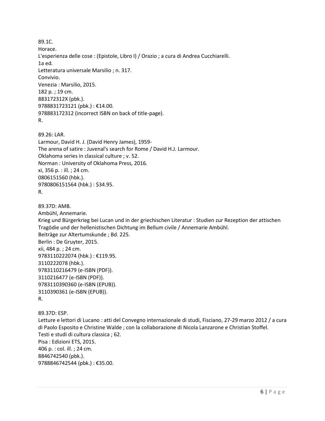89.1C. Horace. L'esperienza delle cose : (Epistole, Libro I) / Orazio ; a cura di Andrea Cucchiarelli. 1a ed. Letteratura universale Marsilio ; n. 317. Convivio. Venezia : Marsilio, 2015. 182 p. ; 19 cm. 883172312X (pbk.). 9788831723121 (pbk.) : €14.00. 978883172312 (incorrect ISBN on back of title-page). R.

89.26: LAR. Larmour, David H. J. (David Henry James), 1959- The arena of satire : Juvenal's search for Rome / David H.J. Larmour. Oklahoma series in classical culture ; v. 52. Norman : University of Oklahoma Press, 2016. xi, 356 p. : ill. ; 24 cm. 0806151560 (hbk.). 9780806151564 (hbk.) : \$34.95. R.

89.37D: AMB. Ambühl, Annemarie. Krieg und Bürgerkrieg bei Lucan und in der griechischen Literatur : Studien zur Rezeption der attischen Tragödie und der hellenistischen Dichtung im Bellum civile / Annemarie Ambühl. Beiträge zur Altertumskunde ; Bd. 225. Berlin : De Gruyter, 2015. xii, 484 p. ; 24 cm. 9783110222074 (hbk.) : €119.95. 3110222078 (hbk.). 9783110216479 (e-ISBN (PDF)). 3110216477 (e-ISBN (PDF)). 9783110390360 (e-ISBN (EPUB)). 3110390361 (e-ISBN (EPUB)). R.

89.37D: ESP. Letture e lettori di Lucano : atti del Convegno internazionale di studi, Fisciano, 27-29 marzo 2012 / a cura di Paolo Esposito e Christine Walde ; con la collaborazione di Nicola Lanzarone e Christian Stoffel. Testi e studi di cultura classica ; 62. Pisa : Edizioni ETS, 2015. 406 p. : col. ill. ; 24 cm. 8846742540 (pbk.). 9788846742544 (pbk.): €35.00.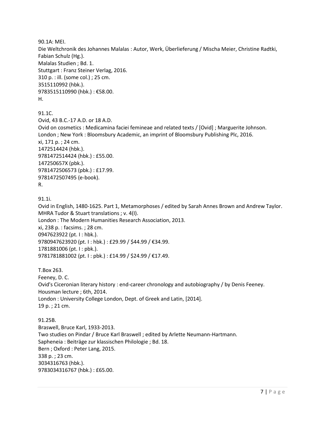90.1A: MEI. Die Weltchronik des Johannes Malalas : Autor, Werk, Überlieferung / Mischa Meier, Christine Radtki, Fabian Schulz (Hg.). Malalas Studien ; Bd. 1. Stuttgart : Franz Steiner Verlag, 2016. 310 p. : ill. (some col.) ; 25 cm. 3515110992 (hbk.). 9783515110990 (hbk.) : €58.00. H.

#### 91.1C.

Ovid, 43 B.C.-17 A.D. or 18 A.D. Ovid on cosmetics : Medicamina faciei femineae and related texts / [Ovid] ; Marguerite Johnson. London ; New York : Bloomsbury Academic, an imprint of Bloomsbury Publishing Plc, 2016. xi, 171 p. ; 24 cm. 1472514424 (hbk.). 9781472514424 (hbk.) : £55.00. 147250657X (pbk.). 9781472506573 (pbk.) : £17.99. 9781472507495 (e-book). R.

```
91.1i.
```
Ovid in English, 1480-1625. Part 1, Metamorphoses / edited by Sarah Annes Brown and Andrew Taylor. MHRA Tudor & Stuart translations ; v. 4(I). London : The Modern Humanities Research Association, 2013. xi, 238 p. : facsims. ; 28 cm. 0947623922 (pt. I : hbk.). 9780947623920 (pt. I : hbk.) : £29.99 / \$44.99 / €34.99. 1781881006 (pt. I : pbk.). 9781781881002 (pt. I : pbk.) : £14.99 / \$24.99 / €17.49.

T.Box 263. Feeney, D. C. Ovid's Ciceronian literary history : end-career chronology and autobiography / by Denis Feeney. Housman lecture ; 6th, 2014. London : University College London, Dept. of Greek and Latin, [2014]. 19 p. ; 21 cm.

91.25B. Braswell, Bruce Karl, 1933-2013. Two studies on Pindar / Bruce Karl Braswell ; edited by Arlette Neumann-Hartmann. Sapheneia : Beiträge zur klassischen Philologie ; Bd. 18. Bern ; Oxford : Peter Lang, 2015. 338 p. ; 23 cm. 3034316763 (hbk.). 9783034316767 (hbk.) : £65.00.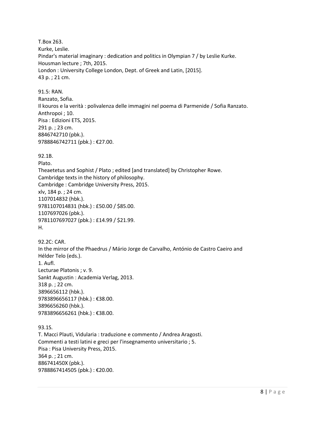T.Box 263. Kurke, Leslie. Pindar's material imaginary : dedication and politics in Olympian 7 / by Leslie Kurke. Housman lecture ; 7th, 2015. London : University College London, Dept. of Greek and Latin, [2015]. 43 p. ; 21 cm. 91.5: RAN. Ranzato, Sofia. Il kouros e la verità : polivalenza delle immagini nel poema di Parmenide / Sofia Ranzato. Anthropoi ; 10. Pisa : Edizioni ETS, 2015. 291 p. ; 23 cm. 8846742710 (pbk.). 9788846742711 (pbk.) : €27.00. 92.1B. Plato. Theaetetus and Sophist / Plato ; edited [and translated] by Christopher Rowe. Cambridge texts in the history of philosophy. Cambridge : Cambridge University Press, 2015. xlv, 184 p. ; 24 cm. 1107014832 (hbk.). 9781107014831 (hbk.) : £50.00 / \$85.00. 1107697026 (pbk.). 9781107697027 (pbk.) : £14.99 / \$21.99. H. 92.2C: CAR. In the mirror of the Phaedrus / Mário Jorge de Carvalho, António de Castro Caeiro and Hélder Telo (eds.). 1. Aufl. Lecturae Platonis ; v. 9. Sankt Augustin : Academia Verlag, 2013. 318 p. ; 22 cm. 3896656112 (hbk.). 9783896656117 (hbk.) : €38.00. 3896656260 (hbk.). 9783896656261 (hbk.) : €38.00. 93.1S. T. Macci Plauti, Vidularia : traduzione e commento / Andrea Aragosti. Commenti a testi latini e greci per l'insegnamento universitario ; 5. Pisa : Pisa University Press, 2015. 364 p. ; 21 cm. 886741450X (pbk.). 9788867414505 (pbk.) : €20.00.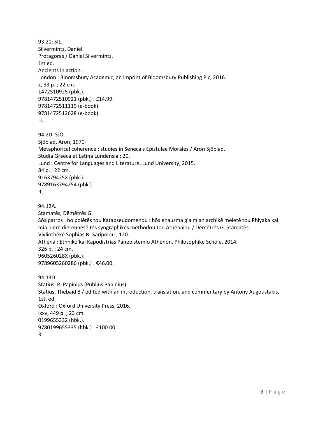```
93.21: SIL. 
Silvermintz, Daniel.
Protagoras / Daniel Silvermintz.
1st ed.
Ancients in action. 
London : Bloomsbury Academic, an imprint of Bloomsbury Publishing Plc, 2016.
x, 93 p. ; 22 cm.
1472510925 (pbk.). 
9781472510921 (pbk.) : £14.99. 
9781472511119 (e-book). 
9781472512628 (e-book). 
H. 
94.2D: SJÖ. 
Sjöblad, Aron, 1970-
Metaphorical coherence : studies in Seneca's Epistulae Morales / Aron Sjöblad.
Studia Graeca et Latina Lundensia ; 20.
Lund : Centre for Languages and Literature, Lund University, 2015.
84 p. ; 22 cm.
916379425X (pbk.). 
9789163794254 (pbk.). 
R. 
94.12A. 
Stamatēs, Dēmētrēs G.
Sōsipatros : ho poiētēs tou Katapseudomenou : hōs enausma gia mian archikē meletē tou Phlyaka kai 
mia plērē diereunēsē tēs syngraphikēs methodou tou Athēnaiou / Dēmētrēs G. Stamatēs.
Vivliothēkē Sophias N. Saripolou ; 120.
Athēna : Ethniko kai Kapodistrias Panepistēmio Athēnōn, Philosophikē Scholē, 2014.
326 p. ; 24 cm.
960526028X (pbk.). 
9789605260286 (pbk.): €46.00.
94.13D. 
Statius, P. Papinius (Publius Papinius).
Statius, Thebaid 8 / edited with an introduction, translation, and commentary by Antony Augoustakis.
1st. ed.
Oxford : Oxford University Press, 2016.
lxxv, 449 p. ; 23 cm.
0199655332 (hbk.). 
9780199655335 (hbk.) : £100.00.
```

```
R.
```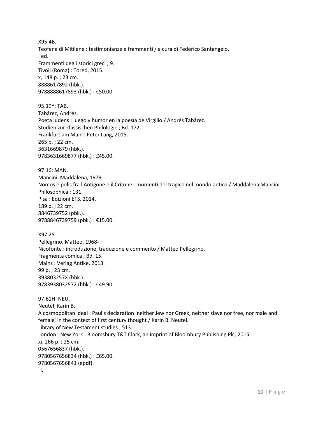X95.4B. Teofane di Mitilene : testimonianze e frammenti / a cura di Federico Santangelo. I ed. Frammenti degli storici greci ; 9. Tivoli (Roma) : Tored, 2015. x, 148 p. ; 23 cm. 8888617892 (hbk.). 9788888617893 (hbk.) : €50.00.

95.19Y: TAB. Tabárez, Andrés. Poeta ludens : juego y humor en la poesía de Virgilio / Andrés Tabárez. Studien zur klassischen Philologie ; Bd. 172. Frankfurt am Main : Peter Lang, 2015. 265 p. ; 22 cm. 3631669879 (hbk.). 9783631669877 (hbk.) : £45.00.

97.16: MAN. Mancini, Maddalena, 1979- Nomos e polis fra l'Antigone e il Critone : momenti del tragico nel mondo antico / Maddalena Mancini. Philosophica ; 131. Pisa : Edizioni ETS, 2014. 189 p. ; 22 cm. 8846739752 (pbk.). 9788846739759 (pbk.) : €15.00.

X97.25. Pellegrino, Matteo, 1968- Nicofonte : introduzione, traduzione e commento / Matteo Pellegrino. Fragmenta comica ; Bd. 15. Mainz : Verlag Antike, 2013. 99 p. ; 23 cm. 393803257X (hbk.). 9783938032572 (hbk.) : €49.90.

97.61H: NEU. Neutel, Karin B. A cosmopolitan ideal : Paul's declaration 'neither Jew nor Greek, neither slave nor free, nor male and female' in the context of first century thought / Karin B. Neutel. Library of New Testament studies ; 513. London ; New York : Bloomsbury T&T Clark, an imprint of Bloombury Publishing Plc, 2015. xi, 266 p. ; 25 cm. 0567656837 (hbk.). 9780567656834 (hbk.) : £65.00. 9780567656841 (epdf). H.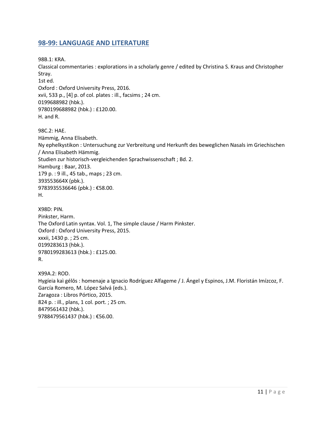#### <span id="page-10-0"></span>**98-99: LANGUAGE AND LITERATURE**

98B.1: KRA.

Classical commentaries : explorations in a scholarly genre / edited by Christina S. Kraus and Christopher Stray.

1st ed. Oxford : Oxford University Press, 2016. xvii, 533 p., [4] p. of col. plates : ill., facsims ; 24 cm. 0199688982 (hbk.). 9780199688982 (hbk.) : £120.00. H. and R.

98C.2: HAE. Hämmig, Anna Elisabeth. Ny ephelkystikon : Untersuchung zur Verbreitung und Herkunft des beweglichen Nasals im Griechischen / Anna Elisabeth Hämmig. Studien zur historisch-vergleichenden Sprachwissenschaft ; Bd. 2. Hamburg : Baar, 2013. 179 p. : 9 ill., 45 tab., maps ; 23 cm. 393553664X (pbk.). 9783935536646 (pbk.) : €58.00. H.

X98D: PIN. Pinkster, Harm. The Oxford Latin syntax. Vol. 1, The simple clause / Harm Pinkster. Oxford : Oxford University Press, 2015. xxxii, 1430 p. ; 25 cm. 0199283613 (hbk.). 9780199283613 (hbk.) : £125.00. R.

X99A.2: ROD. Hygíeia kaì gélōs : homenaje a Ignacio Rodríguez Alfageme / J. Ángel y Espinos, J.M. Floristán Imízcoz, F. García Romero, M. López Salvá (eds.). Zaragoza : Libros Pórtico, 2015. 824 p. : ill., plans, 1 col. port. ; 25 cm. 8479561432 (hbk.). 9788479561437 (hbk.) : €56.00.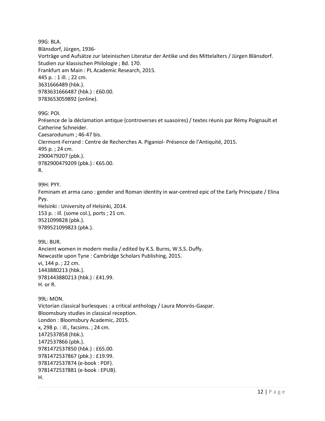99G: BLA. Blänsdorf, Jürgen, 1936- Vorträge und Aufsätze zur lateinischen Literatur der Antike und des Mittelalters / Jürgen Blänsdorf. Studien zur klassischen Philologie ; Bd. 170. Frankfurt am Main : PL Academic Research, 2015. 445 p. : 1 ill. ; 22 cm. 3631666489 (hbk.). 9783631666487 (hbk.) : £60.00. 9783653059892 (online).

99G: POI. Présence de la déclamation antique (controverses et suasoires) / textes réunis par Rémy Poignault et Catherine Schneider. Caesarodunum ; 46-47 bis. Clermont-Ferrand : Centre de Recherches A. Piganiol- Présence de l'Antiquité, 2015. 495 p. ; 24 cm. 2900479207 (pbk.). 9782900479209 (pbk.) : €65.00. R.

99H: PYY. Feminam et arma cano : gender and Roman identity in war-centred epic of the Early Principate / Elina Pyy. Helsinki : University of Helsinki, 2014. 153 p. : ill. (some col.), ports ; 21 cm. 9521099828 (pbk.). 9789521099823 (pbk.).

99L: BUR. Ancient women in modern media / edited by K.S. Burns, W.S.S. Duffy. Newcastle upon Tyne : Cambridge Scholars Publishing, 2015. vi, 144 p. ; 22 cm. 1443880213 (hbk.). 9781443880213 (hbk.) : £41.99. H. or R.

99L: MON. Victorian classical burlesques : a critical anthology / Laura Monrós-Gaspar. Bloomsbury studies in classical reception. London : Bloomsbury Academic, 2015. x, 298 p. : ill., facsims. ; 24 cm. 1472537858 (hbk.). 1472537866 (pbk.). 9781472537850 (hbk.) : £65.00. 9781472537867 (pbk.) : £19.99. 9781472537874 (e-book : PDF). 9781472537881 (e-book : EPUB). H.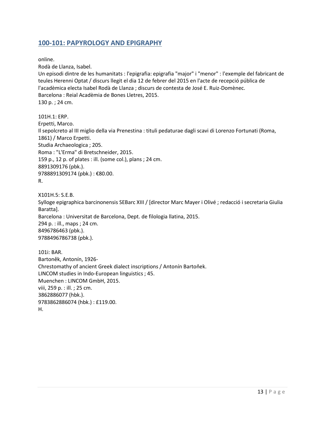#### <span id="page-12-0"></span>**100-101: PAPYROLOGY AND EPIGRAPHY**

online.

Rodà de Llanza, Isabel.

Un episodi dintre de les humanitats : l'epigrafia: epigrafia "major" i "menor" : l'exemple del fabricant de teules Herenni Optat / discurs llegit el dia 12 de febrer del 2015 en l'acte de recepció pública de l'acadèmica electa Isabel Rodà de Llanza ; discurs de contesta de José E. Ruiz-Domènec. Barcelona : Reial Acadèmia de Bones Lletres, 2015. 130 p. ; 24 cm.

101H.1: ERP. Erpetti, Marco. Il sepolcreto al III miglio della via Prenestina : tituli pedaturae dagli scavi di Lorenzo Fortunati (Roma, 1861) / Marco Erpetti. Studia Archaeologica ; 205. Roma : "L'Erma" di Bretschneider, 2015. 159 p., 12 p. of plates : ill. (some col.), plans ; 24 cm. 8891309176 (pbk.). 9788891309174 (pbk.): €80.00. R.

X101H.5: S.E.B. Sylloge epigraphica barcinonensis SEBarc XIII / [director Marc Mayer i Olivé ; redacció i secretaria Giulia Baratta]. Barcelona : Universitat de Barcelona, Dept. de filologia llatina, 2015. 294 p. : ill., maps ; 24 cm. 8496786463 (pbk.). 9788496786738 (pbk.).

101i: BAR. Bartoněk, Antonín, 1926- Chrestomathy of ancient Greek dialect inscriptions / Antonín Bartoňek. LINCOM studies in Indo-European linguistics ; 45. Muenchen : LINCOM GmbH, 2015. viii, 259 p. : ill. ; 25 cm. 3862886077 (hbk.). 9783862886074 (hbk.) : £119.00. H.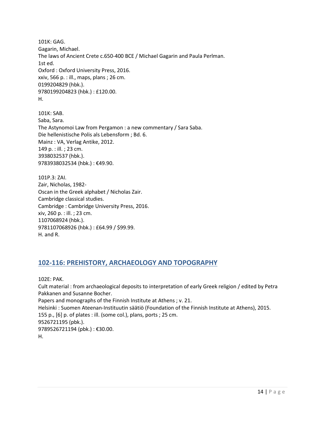101K: GAG. Gagarin, Michael. The laws of Ancient Crete c.650-400 BCE / Michael Gagarin and Paula Perlman. 1st ed. Oxford : Oxford University Press, 2016. xxiv, 566 p. : ill., maps, plans ; 26 cm. 0199204829 (hbk.). 9780199204823 (hbk.) : £120.00. H.

101K: SAB. Saba, Sara. The Astynomoi Law from Pergamon : a new commentary / Sara Saba. Die hellenistische Polis als Lebensform ; Bd. 6. Mainz : VA, Verlag Antike, 2012. 149 p. : ill. ; 23 cm. 3938032537 (hbk.). 9783938032534 (hbk.) : €49.90.

101P.3: ZAI. Zair, Nicholas, 1982- Oscan in the Greek alphabet / Nicholas Zair. Cambridge classical studies. Cambridge : Cambridge University Press, 2016. xiv, 260 p. : ill. ; 23 cm. 1107068924 (hbk.). 9781107068926 (hbk.) : £64.99 / \$99.99. H. and R.

#### <span id="page-13-0"></span>**102-116: PREHISTORY, ARCHAEOLOGY AND TOPOGRAPHY**

102E: PAK.

Cult material : from archaeological deposits to interpretation of early Greek religion / edited by Petra Pakkanen and Susanne Bocher.

Papers and monographs of the Finnish Institute at Athens ; v. 21.

Helsinki : Suomen Ateenan-Instituutin säätiö (Foundation of the Finnish Institute at Athens), 2015. 155 p., [6] p. of plates : ill. (some col.), plans, ports ; 25 cm.

9526721195 (pbk.). 9789526721194 (pbk.) : €30.00.

H.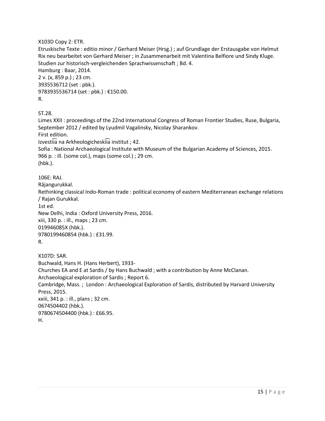X103D Copy 2: ETR.

Etruskische Texte : editio minor / Gerhard Meiser (Hrsg.) ; auf Grundlage der Erstausgabe von Helmut Rix neu bearbeitet von Gerhard Meiser ; in Zusammenarbeit mit Valentina Belfiore und Sindy Kluge. Studien zur historisch-vergleichenden Sprachwissenschaft ; Bd. 4. Hamburg : Baar, 2014. 2 v. (x, 859 p.) ; 23 cm. 3935536712 (set : pbk.). 9783935536714 (set : pbk.) : €150.00. R.

ST.28.

Limes XXII : proceedings of the 22nd International Congress of Roman Frontier Studies, Ruse, Bulgaria, September 2012 / edited by Lyudmil Vagalinsky, Nicolay Sharankov. First edition. Izvestiia na Arkheologicheskiia institut ; 42. Sofia : National Archaeological Institute with Museum of the Bulgarian Academy of Sciences, 2015. 966 p. : ill. (some col.), maps (some col.) ; 29 cm. (hbk.). 106E: RAJ. Rājangurukkal. Rethinking classical Indo-Roman trade : political economy of eastern Mediterranean exchange relations / Rajan Gurukkal. 1st ed. New Delhi, India : Oxford University Press, 2016. xiii, 330 p. : ill., maps ; 23 cm. 019946085X (hbk.). 9780199460854 (hbk.) : £31.99. R. X107D: SAR. Buchwald, Hans H. (Hans Herbert), 1933- Churches EA and E at Sardis / by Hans Buchwald ; with a contribution by Anne McClanan. Archaeological exploration of Sardis ; Report 6. Cambridge, Mass. ; London : Archaeological Exploration of Sardis, distributed by Harvard University

Press, 2015.

xxiii, 341 p. : ill., plans ; 32 cm. 0674504402 (hbk.). 9780674504400 (hbk.) : £66.95. H.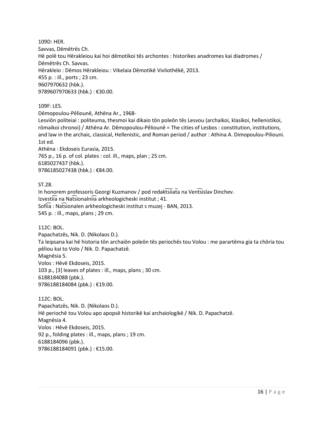109D: HER. Savvas, Dēmētrēs Ch. Hē polē tou Hērakleiou kai hoi dēmotikoi tēs archontes : historikes anadromes kai diadromes / Dēmētrēs Ch. Savvas. Hērakleio : Dēmos Hērakleiou : Vikelaia Dēmotikē Vivliothēkē, 2013. 455 p. : ill., ports ; 23 cm. 9607970632 (hbk.). 9789607970633 (hbk.) : €30.00.

109F: LES.

Dēmopoulou-Pēliounē, Athēna Ar., 1968-

Lesviōn politeiai : politeuma, thesmoi kai dikaio tōn poleōn tēs Lesvou (archaikoi, klasikoi, hellenistikoi, rōmaikoi chronoi) / Athēna Ar. Dēmopoulou-Pēliounē = The cities of Lesbos : constitution, institutions, and law in the archaic, classical, Hellenistic, and Roman period / author : Athina A. Dimopoulou-Piliouni. 1st ed.

Athēna : Ekdoseis Eurasia, 2015. 765 p., 16 p. of col. plates : col. ill., maps, plan ; 25 cm. 6185027437 (hbk.). 9786185027438 (hbk.) : €84.00.

ST.28.

In honorem professoris Georgi Kuzmanov / pod redaktsiiata na Ventsislav Dinchev. Izvestiia na Natsionalniia arkheologicheski institut ; 41. Sofiia : Natsionalen arkheologicheski institut s muzej - BAN, 2013. 545 p. : ill., maps, plans ; 29 cm.

112C: BOL.

Papachatzēs, Nik. D. (Nikolaos D.). Ta leipsana kai hē historia tōn archaiōn poleōn tēs periochēs tou Volou : me parartēma gia ta chōria tou pēliou kai to Volo / Nik. D. Papachatzē. Magnēsia 5. Volos : Hēvē Ekdoseis, 2015. 103 p., [3] leaves of plates : ill., maps, plans ; 30 cm. 6188184088 (pbk.). 9786188184084 (pbk.) : €19.00.

112C: BOL.

Papachatzēs, Nik. D. (Nikolaos D.). Hē periochē tou Volou apo apopsē historikē kai archaiologikē / Nik. D. Papachatzē. Magnēsia 4. Volos : Hēvē Ekdoseis, 2015. 92 p., folding plates : ill., maps, plans ; 19 cm. 6188184096 (pbk.). 9786188184091 (pbk.) : €15.00.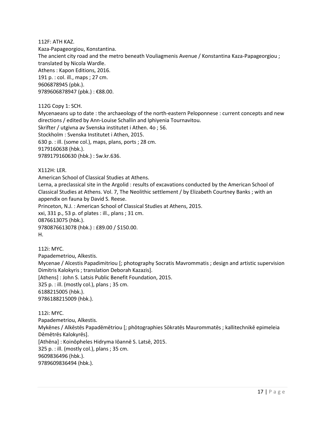112F: ATH KAZ.

Kaza-Papageorgiou, Konstantina. The ancient city road and the metro beneath Vouliagmenis Avenue / Konstantina Kaza-Papageorgiou ; translated by Nicola Wardle. Athens : Kapon Editions, 2016. 191 p. : col. ill., maps ; 27 cm. 9606878945 (pbk.). 9789606878947 (pbk.): €88.00.

112G Copy 1: SCH.

Mycenaeans up to date : the archaeology of the north-eastern Peloponnese : current concepts and new directions / edited by Ann-Louise Schallin and Iphiyenia Tournavitou. Skrifter / utgivna av Svenska institutet i Athen. 4o ; 56. Stockholm : Svenska Institutet i Athen, 2015. 630 p. : ill. (some col.), maps, plans, ports ; 28 cm. 9179160638 (hbk.). 9789179160630 (hbk.) : Sw.kr.636.

X112H: LER.

American School of Classical Studies at Athens.

Lerna, a preclassical site in the Argolid : results of excavations conducted by the American School of Classical Studies at Athens. Vol. 7, The Neolithic settlement / by Elizabeth Courtney Banks ; with an appendix on fauna by David S. Reese.

Princeton, N.J. : American School of Classical Studies at Athens, 2015.

xxi, 331 p., 53 p. of plates : ill., plans ; 31 cm.

0876613075 (hbk.).

9780876613078 (hbk.) : £89.00 / \$150.00.

H.

112i: MYC. Papademetriou, Alkestis. Mycenae / Alcestis Papadimitriou [; photography Socratis Mavrommatis ; design and artistic supervision Dimitris Kalokyris ; translation Deborah Kazazis]. [Athens] : John S. Latsis Public Benefit Foundation, 2015. 325 p. : ill. (mostly col.), plans ; 35 cm. 6188215005 (hbk.). 9786188215009 (hbk.).

112i: MYC. Papademetriou, Alkestis. Mykēnes / Alkēstēs Papadēmētriou [; phōtographies Sōkratēs Maurommatēs ; kallitechnikē epimeleia Dēmētrēs Kalokyrēs]. [Athēna] : Koinōpheles Hidryma Iōannē S. Latsē, 2015. 325 p. : ill. (mostly col.), plans ; 35 cm. 9609836496 (hbk.). 9789609836494 (hbk.).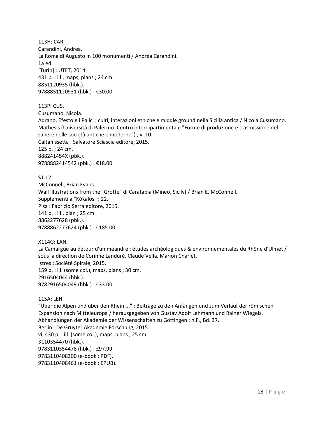113H: CAR. Carandini, Andrea. La Roma di Augusto in 100 monumenti / Andrea Carandini. 1a ed. [Turin] : UTET, 2014. 431 p. : ill., maps, plans ; 24 cm. 8851120935 (hbk.). 9788851120931 (hbk.) : €30.00.

113P: CUS.

Cusumano, Nicola.

Adrano, Efesto e i Palici : culti, interazioni etniche e middle ground nella Sicilia antica / Nicola Cusumano. Mathesis (Università di Palermo. Centro interdipartimentale "Forme di produzione e trasmissione del sapere nelle società antiche e moderne") ; v. 10. Caltanissetta : Salvatore Sciascia editore, 2015. 125 p. ; 24 cm. 888241454X (pbk.). 9788882414542 (pbk.) : €18.00.

ST.12. McConnell, Brian Evans. Wall illustrations from the "Grotte" di Caratabia (Mineo, Sicily) / Brian E. McConnell. Supplementi a "Kókalos" ; 22. Pisa : Fabrizio Serra editore, 2015. 141 p. ; ill., plan ; 25 cm. 8862277628 (pbk.). 9788862277624 (pbk.): €185.00.

X114G: LAN. La Camargue au détour d'un méandre : études archéologiques & environnementales du Rhône d'Ulmet / sous la direction de Corinne Landuré, Claude Vella, Marion Charlet. Istres : Société Spirale, 2015. 159 p. : ill. (some col.), maps, plans ; 30 cm. 2916504044 (hbk.). 9782916504049 (hbk.) : €33.00.

115A: LEH.

"Über die Alpen und über den Rhein ..." : Beiträge zu den Anfängen und zum Verlauf der römischen Expansion nach Mitteleuropa / herausgegeben von Gustav Adolf Lehmann und Rainer Wiegels. Abhandlungen der Akademie der Wissenschaften zu Göttingen ; n.F., Bd. 37. Berlin : De Gruyter Akademie Forschung, 2015. vi, 430 p. : ill. (some col.), maps, plans ; 25 cm. 3110354470 (hbk.). 9783110354478 (hbk.) : £97.99. 9783110408300 (e-book : PDF). 9783110408461 (e-book : EPUB).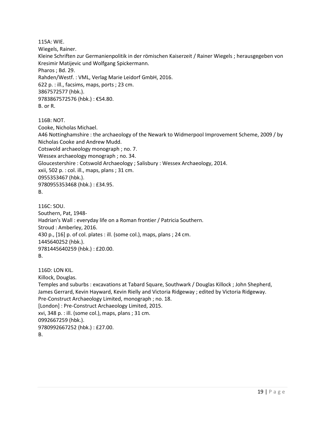115A: WIE.

Wiegels, Rainer.

Kleine Schriften zur Germanienpolitik in der römischen Kaiserzeit / Rainer Wiegels ; herausgegeben von Kresimir Matijevic und Wolfgang Spickermann. Pharos ; Bd. 29. Rahden/Westf. : VML, Verlag Marie Leidorf GmbH, 2016. 622 p. : ill., facsims, maps, ports ; 23 cm. 3867572577 (hbk.). 9783867572576 (hbk.) : €54.80. B. or R.

116B: NOT.

Cooke, Nicholas Michael.

A46 Nottinghamshire : the archaeology of the Newark to Widmerpool Improvement Scheme, 2009 / by Nicholas Cooke and Andrew Mudd.

Cotswold archaeology monograph ; no. 7.

Wessex archaeology monograph ; no. 34.

Gloucestershire : Cotswold Archaeology ; Salisbury : Wessex Archaeology, 2014.

xxii, 502 p. : col. ill., maps, plans ; 31 cm.

0955353467 (hbk.).

9780955353468 (hbk.) : £34.95.

```
B.
```
116C: SOU. Southern, Pat, 1948- Hadrian's Wall : everyday life on a Roman frontier / Patricia Southern. Stroud : Amberley, 2016. 430 p., [16] p. of col. plates : ill. (some col.), maps, plans ; 24 cm. 1445640252 (hbk.). 9781445640259 (hbk.) : £20.00. B.

116D: LON KIL. Killock, Douglas. Temples and suburbs : excavations at Tabard Square, Southwark / Douglas Killock ; John Shepherd, James Gerrard, Kevin Hayward, Kevin Rielly and Victoria Ridgeway ; edited by Victoria Ridgeway. Pre-Construct Archaeology Limited, monograph ; no. 18. [London] : Pre-Construct Archaeology Limited, 2015. xvi, 348 p. : ill. (some col.), maps, plans ; 31 cm. 0992667259 (hbk.). 9780992667252 (hbk.) : £27.00. B.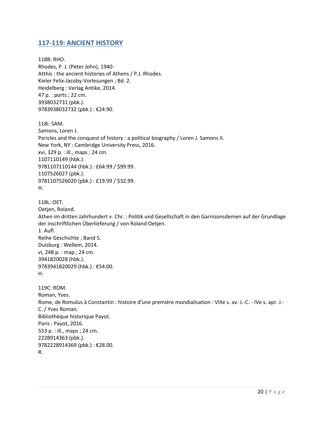#### <span id="page-19-0"></span>**117-119: ANCIENT HISTORY**

118B: RHO. Rhodes, P. J. (Peter John), 1940- Atthis : the ancient histories of Athens / P.J. Rhodes. Kieler Felix-Jacoby-Vorlesungen ; Bd. 2. Heidelberg : Verlag Antike, 2014. 47 p. : ports ; 22 cm. 3938032731 (pbk.). 9783938032732 (pbk.) : €24.90. 118i: SAM. Samons, Loren J. Pericles and the conquest of history : a political biography / Loren J. Samons II. New York, NY : Cambridge University Press, 2016. xvi, 329 p. : ill., maps ; 24 cm. 1107110149 (hbk.). 9781107110144 (hbk.) : £64.99 / \$99.99. 1107526027 (pbk.). 9781107526020 (pbk.) : £19.99 / \$32.99. H. 118L: OET. Oetjen, Roland. Athen im dritten Jahrhundert v. Chr. : Politik und Gesellschaft in den Garnisonsdemen auf der Grundlage der inschriftlichen Überlieferung / von Roland Oetjen. 1. Aufl. Reihe Geschichte ; Band 5. Duisburg : Wellem, 2014. vi, 248 p. : map ; 24 cm. 3941820028 (hbk.). 9783941820029 (hbk.) : €54.00. H. 119C: ROM. Roman, Yves. Rome, de Romulus à Constantin : histoire d'une première mondialisation : VIIIe s. av. J.-C. - IVe s. apr. J.- C. / Yves Roman. Bibliothèque historique Payot. Paris : Payot, 2016. 553 p. : ill., maps ; 24 cm. 2228914363 (pbk.). 9782228914369 (pbk.) : €28.00. R.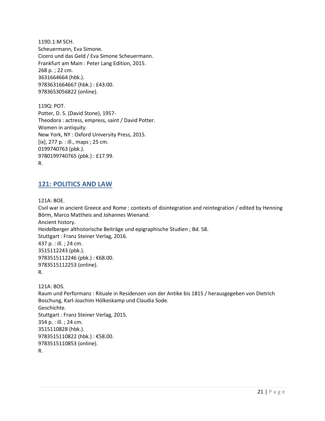119D.1:M SCH. Scheuermann, Eva Simone. Cicero und das Geld / Eva Simone Scheuermann. Frankfurt am Main : Peter Lang Edition, 2015. 268 p. ; 22 cm. 3631664664 (hbk.). 9783631664667 (hbk.) : £43.00. 9783653056822 (online).

119Q: POT. Potter, D. S. (David Stone), 1957- Theodora : actress, empress, saint / David Potter. Women in antiquity. New York, NY : Oxford University Press, 2015. [ix], 277 p. : ill., maps ; 25 cm. 0199740763 (pbk.). 9780199740765 (pbk.) : £17.99. R.

#### <span id="page-20-0"></span>**121: POLITICS AND LAW**

121A: BOE.

Civil war in ancient Greece and Rome : contexts of disintegration and reintegration / edited by Henning Börm, Marco Mattheis and Johannes Wienand. Ancient history. Heidelberger althistorische Beiträge und epigraphische Studien ; Bd. 58. Stuttgart : Franz Steiner Verlag, 2016. 437 p. : ill. ; 24 cm. 3515112243 (pbk.). 9783515112246 (pbk.): €68.00. 9783515112253 (online). R.

121A: BOS. Raum und Performanz : Rituale in Residenzen von der Antike bis 1815 / herausgegeben von Dietrich Boschung, Karl-Joachim Hölkeskamp und Claudia Sode. Geschichte. Stuttgart : Franz Steiner Verlag, 2015. 354 p. : ill. ; 24 cm. 3515110828 (hbk.). 9783515110822 (hbk.) : €58.00. 9783515110853 (online). R.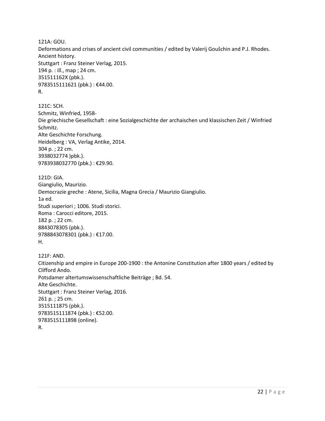121A: GOU. Deformations and crises of ancient civil communities / edited by Valerij Goušchin and P.J. Rhodes. Ancient history. Stuttgart : Franz Steiner Verlag, 2015. 194 p. : ill., map ; 24 cm. 351511162X (pbk.). 9783515111621 (pbk.) : €44.00. R.

121C: SCH. Schmitz, Winfried, 1958- Die griechische Gesellschaft : eine Sozialgeschichte der archaischen und klassischen Zeit / Winfried Schmitz. Alte Geschichte Forschung. Heidelberg : VA, Verlag Antike, 2014. 304 p. ; 22 cm. 3938032774 )pbk.). 9783938032770 (pbk.) : €29.90.

121D: GIA. Giangiulio, Maurizio. Democrazie greche : Atene, Sicilia, Magna Grecia / Maurizio Giangiulio. 1a ed. Studi superiori ; 1006. Studi storici. Roma : Carocci editore, 2015. 182 p. ; 22 cm. 8843078305 (pbk.). 9788843078301 (pbk.) : €17.00. H.

121F: AND. Citizenship and empire in Europe 200-1900 : the Antonine Constitution after 1800 years / edited by Clifford Ando. Potsdamer altertumswissenschaftliche Beiträge ; Bd. 54. Alte Geschichte. Stuttgart : Franz Steiner Verlag, 2016. 261 p. ; 25 cm. 3515111875 (pbk.). 9783515111874 (pbk.) : €52.00. 9783515111898 (online). R.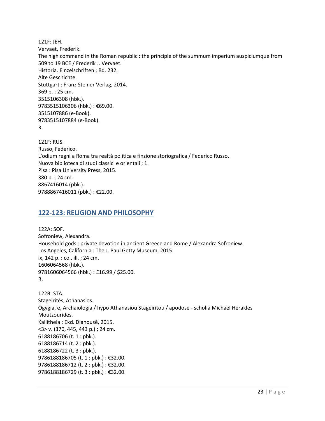121F: JEH. Vervaet, Frederik. The high command in the Roman republic : the principle of the summum imperium auspiciumque from 509 to 19 BCE / Frederik J. Vervaet. Historia. Einzelschriften ; Bd. 232. Alte Geschichte. Stuttgart : Franz Steiner Verlag, 2014. 369 p. ; 25 cm. 3515106308 (hbk.). 9783515106306 (hbk.) : €69.00. 3515107886 (e-Book). 9783515107884 (e-Book). R.

121F: RUS. Russo, Federico. L'odium regni a Roma tra realtà politica e finzione storiografica / Federico Russo. Nuova biblioteca di studi classici e orientali ; 1. Pisa : Pisa University Press, 2015. 380 p. ; 24 cm. 8867416014 (pbk.). 9788867416011 (pbk.) : €22.00.

#### <span id="page-22-0"></span>**122-123: RELIGION AND PHILOSOPHY**

122A: SOF. Sofroniew, Alexandra. Household gods : private devotion in ancient Greece and Rome / Alexandra Sofroniew. Los Angeles, California : The J. Paul Getty Museum, 2015. ix, 142 p. : col. ill. ; 24 cm. 1606064568 (hbk.). 9781606064566 (hbk.) : £16.99 / \$25.00. R.

122B: STA. Stageiritēs, Athanasios. Ōgygia, ē, Archaiologia / hypo Athanasiou Stageiritou / apodosē - scholia Michaēl Hēraklēs Moutzouridēs. Kallitheia : Ekd. Dianousē, 2015. <3> v. (370, 445, 443 p.) ; 24 cm. 6188186706 (t. 1 : pbk.). 6188186714 (t. 2 : pbk.). 6188186722 (t. 3 : pbk.). 9786188186705 (t. 1 : pbk.) : €32.00. 9786188186712 (t. 2 : pbk.) : €32.00. 9786188186729 (t. 3 : pbk.) : €32.00.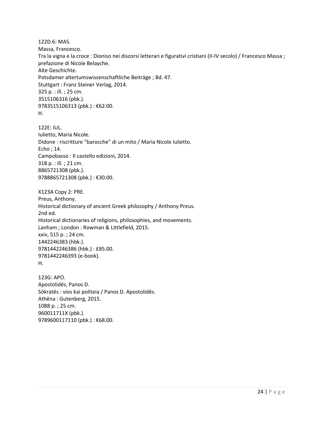122D.6: MAS. Massa, Francesco. Tra la vigna e la croce : Dioniso nei discorsi letterari e figurativi cristiani (II-IV secolo) / Francesco Massa ; prefazione di Nicole Belayche. Alte Geschichte. Potsdamer altertumswissenschaftliche Beiträge ; Bd. 47. Stuttgart : Franz Steiner Verlag, 2014. 325 p. : ill. ; 25 cm. 3515106316 (pbk.). 9783515106313 (pbk.) : €62.00. H.

122E: IUL. Iulietto, Maria Nicole. Didone : riscritture "barocche" di un mito / Maria Nicole Iulietto. Echo ; 14. Campobasso : Il castello edizioni, 2014. 318 p. : ill. ; 21 cm. 8865721308 (pbk.). 9788865721308 (pbk.) : €30.00.

X123A Copy 2: PRE. Preus, Anthony. Historical dictionary of ancient Greek philosophy / Anthony Preus. 2nd ed. Historical dictionaries of religions, philosophies, and movements. Lanham ; London : Rowman & Littlefield, 2015. xxiv, 515 p. ; 24 cm. 1442246383 (hbk.). 9781442246386 (hbk.) : £85.00. 9781442246393 (e-book). H.

123G: APO. Apostolidēs, Panos D. Sōkratēs : vios kai politeia / Panos D. Apostolidēs. Athēna : Gutenberg, 2015. 1088 p. ; 25 cm. 960011711X (pbk.). 9789600117110 (pbk.): €68.00.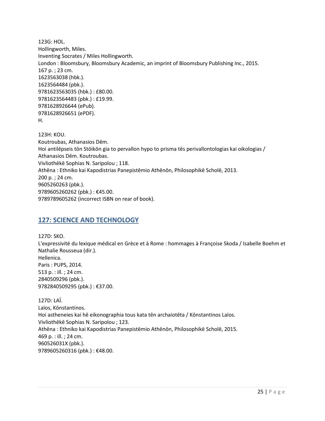```
123G: HOL. 
Hollingworth, Miles.
Inventing Socrates / Miles Hollingworth.
London : Bloomsbury, Bloomsbury Academic, an imprint of Bloomsbury Publishing Inc., 2015.
167 p. ; 23 cm.
1623563038 (hbk.). 
1623564484 (pbk.). 
9781623563035 (hbk.) : £80.00. 
9781623564483 (pbk.) : £19.99. 
9781628926644 (ePub). 
9781628926651 (ePDF). 
H. 
123H: KOU.
```
Koutroubas, Athanasios Dēm. Hoi antilēpseis tōn Stōikōn gia to pervallon hypo to prisma tēs perivallontologias kai oikologias / Athanasios Dēm. Koutroubas. Vivliothēkē Sophias N. Saripolou ; 118. Athēna : Ethniko kai Kapodistrias Panepistēmio Athēnōn, Philosophikē Scholē, 2013. 200 p. ; 24 cm. 9605260263 (pbk.). 9789605260262 (pbk.) : €45.00. 9789789605262 (incorrect ISBN on rear of book).

#### <span id="page-24-0"></span>**127: SCIENCE AND TECHNOLOGY**

127D: SKO. L'expressivité du lexique médical en Grèce et à Rome : hommages à Françoise Skoda / Isabelle Boehm et Nathalie Rousseua (dir.). Hellenica. Paris : PUPS, 2014. 513 p. : ill. ; 24 cm. 2840509296 (pbk.). 9782840509295 (pbk.) : €37.00.

127D: LAÏ. Laïos, Kōnstantinos. Hoi astheneies kai hē eikonographia tous kata tēn archaiotēta / Kōnstantinos Laïos. Vivliothēkē Sophias N. Saripolou ; 123. Athēna : Ethniko kai Kapodistrias Panepistēmio Athēnōn, Philosophikē Scholē, 2015. 469 p. : ill. ; 24 cm. 960526031X (pbk.). 9789605260316 (pbk.): €48.00.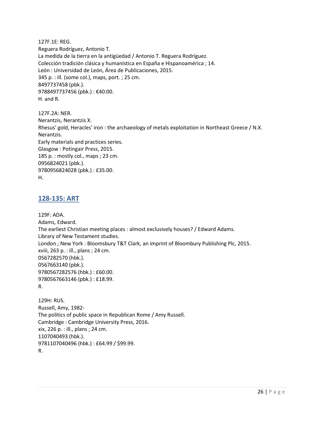127F.1E: REG. Reguera Rodríguez, Antonio T. La medida de la tierra en la antigüedad / Antonio T. Reguera Rodríguez. Colección tradición clásica y humanística en España e Hispanoamérica ; 14. León : Universidad de León, Área de Publicaciones, 2015. 345 p. : ill. (some col.), maps, port. ; 25 cm. 8497737458 (pbk.). 9788497737456 (pbk.) : €40.00. H. and R.

127F.2A: NER. Nerantzis, Nerantzis X. Rhesus' gold, Heracles' iron : the archaeology of metals exploitation in Northeast Greece / N.X. Nerantzis. Early materials and practices series. Glasgow : Potingair Press, 2015. 185 p. : mostly col., maps ; 23 cm. 0956824021 (pbk.). 9780956824028 (pbk.) : £35.00. H.

#### <span id="page-25-0"></span>**128-135: ART**

129F: ADA. Adams, Edward. The earliest Christian meeting places : almost exclusively houses? / Edward Adams. Library of New Testament studies. London ; New York : Bloomsbury T&T Clark, an imprint of Bloombury Publishing Plc, 2015. xviii, 263 p. : ill., plans ; 24 cm. 0567282570 (hbk.). 0567663140 (pbk.). 9780567282576 (hbk.) : £60.00. 9780567663146 (pbk.) : £18.99. R.

129H: RUS. Russell, Amy, 1982- The politics of public space in Republican Rome / Amy Russell. Cambridge : Cambridge University Press, 2016. xix, 226 p. : ill., plans ; 24 cm. 1107040493 (hbk.). 9781107040496 (hbk.) : £64.99 / \$99.99. R.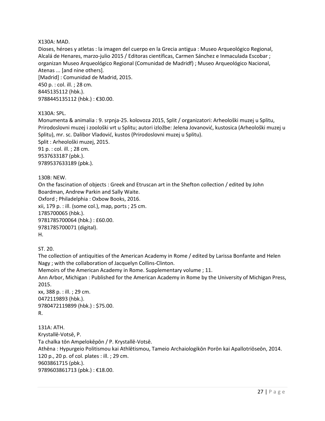#### X130A: MAD.

Dioses, héroes y atletas : la imagen del cuerpo en la Grecia antigua : Museo Arqueológico Regional, Alcalá de Henares, marzo-julio 2015 / Editoras científicas, Carmen Sánchez e Inmaculada Escobar ; organizan Museo Arqueológico Regional (Comunidad de Madridf) ; Museo Arqueológico Nacional, Atenas ... [and nine others]. [Madrid] : Comunidad de Madrid, 2015. 450 p. : col. ill. ; 28 cm. 8445135112 (hbk.). 9788445135112 (hbk.) : €30.00.

#### X130A: SPL.

Monumenta & animalia : 9. srpnja-25. kolovoza 2015, Split / organizatori: Arheološki muzej u Splitu, Prirodoslovni muzej i zoološki vrt u Splitu; autori izložbe: Jelena Jovanović, kustosica (Arheološki muzej u Splitu), mr. sc. Dalibor Vladović, kustos (Prirodoslovni muzej u Splitu). Split : Arheološki muzej, 2015. 91 p. : col. ill. ; 28 cm. 9537633187 (pbk.). 9789537633189 (pbk.).

130B: NEW.

On the fascination of objects : Greek and Etruscan art in the Shefton collection / edited by John Boardman, Andrew Parkin and Sally Waite.

Oxford ; Philadelphia : Oxbow Books, 2016. xii, 179 p. : ill. (some col.), map, ports ; 25 cm. 1785700065 (hbk.). 9781785700064 (hbk.) : £60.00. 9781785700071 (digital). H.

ST. 20.

The collection of antiquities of the American Academy in Rome / edited by Larissa Bonfante and Helen Nagy ; with the collaboration of Jacquelyn Collins-Clinton.

Memoirs of the American Academy in Rome. Supplementary volume ; 11.

Ann Arbor, Michigan : Published for the American Academy in Rome by the University of Michigan Press, 2015.

xx, 388 p. : ill. ; 29 cm. 0472119893 (hbk.). 9780472119899 (hbk.) : \$75.00. R.

131A: ATH. Krystallē-Votsē, P. Ta chalka tōn Ampelokēpōn / P. Krystallē-Votsē. Athēna : Hypurgeio Politismou kai Athlētismou, Tameio Archaiologikōn Porōn kai Apallotriōseōn, 2014. 120 p., 20 p. of col. plates : ill. ; 29 cm. 9603861715 (pbk.). 9789603861713 (pbk.) : €18.00.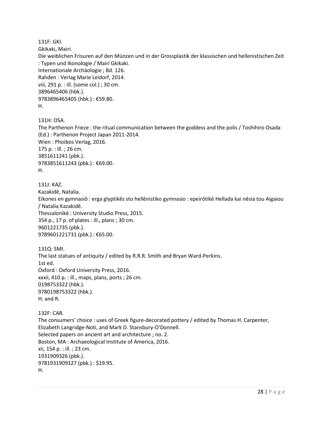131F: GKI.

Gkikaki, Mairi.

Die weiblichen Frisuren auf den Münzen und in der Grossplastik der klassischen und hellenistischen Zeit : Typen und Ikonologie / Mairi Gkikaki. Internationale Archäologie ; Bd. 126. Rahden : Verlag Marie Leidorf, 2014. viii, 291 p. : ill. (some col.) ; 30 cm. 3896465406 (hbk.). 9783896465405 (hbk.) : €59.80. H.

131H: OSA.

The Parthenon Frieze : the ritual communication between the goddess and the polis / Toshihiro Osada (Ed.) : Parthenon Project Japan 2011-2014. Wien : Phoibos Verlag, 2016. 175 p. : ill. ; 26 cm. 3851611241 (pbk.). 9783851611243 (pbk.) : €69.00. H.

131J: KAZ. Kazakidē, Natalia. Eikones en gymnasiō : erga glyptikēs sto hellēnistiko gymnasio : epeirōtikē Hellada kai nēsia tou Aigaiou / Natalia Kazakidē. Thessalonikē : University Studio Press, 2015. 354 p., 17 p. of plates : ill., plans ; 30 cm. 9601221735 (pbk.). 9789601221731 (pbk.) : €65.00.

131Q: SMI. The last statues of antiquity / edited by R.R.R. Smith and Bryan Ward-Perkins. 1st ed. Oxford : Oxford University Press, 2016. xxxii, 410 p. : ill., maps, plans, ports ; 26 cm. 0198753322 (hbk.). 9780198753322 (hbk.). H. and R.

132F: CAR. The consumers' choice : uses of Greek figure-decorated pottery / edited by Thomas H. Carpenter, Elizabeth Langridge-Noti, and Mark D. Stansbury-O'Donnell. Selected papers on ancient art and architecture ; no. 2. Boston, MA : Archaeological Institute of America, 2016. xii, 154 p. : ill. ; 23 cm. 1931909326 (pbk.). 9781931909327 (pbk.) : \$19.95. H.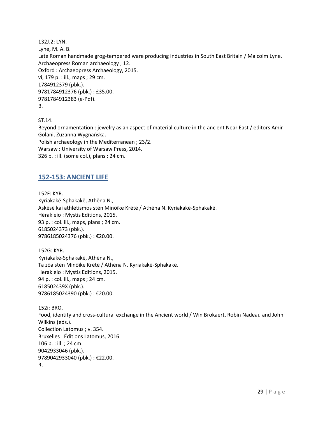132J.2: LYN. Lyne, M. A. B. Late Roman handmade grog-tempered ware producing industries in South East Britain / Malcolm Lyne. Archaeopress Roman archaeology ; 12. Oxford : Archaeopress Archaeology, 2015. vi, 179 p. : ill., maps ; 29 cm. 1784912379 (pbk.). 9781784912376 (pbk.) : £35.00. 9781784912383 (e-Pdf). B.

ST.14.

Beyond ornamentation : jewelry as an aspect of material culture in the ancient Near East / editors Amir Golani, Zuzanna Wygnańska. Polish archaeology in the Mediterranean ; 23/2. Warsaw : University of Warsaw Press, 2014. 326 p. : ill. (some col.), plans ; 24 cm.

#### <span id="page-28-0"></span>**152-153: ANCIENT LIFE**

152F: KYR. Kyriakakē-Sphakakē, Athēna N., Askēsē kai athlētismos stēn Minōïke Krētē / Athēna N. Kyriakakē-Sphakakē. Hērakleio : Mystis Editions, 2015. 93 p. : col. ill., maps, plans ; 24 cm. 6185024373 (pbk.). 9786185024376 (pbk.) : €20.00.

152G: KYR. Kyriakakē-Sphakakē, Athēna N., Ta zōa stēn Minōïke Krētē / Athēna N. Kyriakakē-Sphakakē. Herakleio : Mystis Editions, 2015. 94 p. : col. ill., maps ; 24 cm. 618502439X (pbk.). 9786185024390 (pbk.) : €20.00.

152i: BRO. Food, identity and cross-cultural exchange in the Ancient world / Win Brokaert, Robin Nadeau and John Wilkins (eds.). Collection Latomus ; v. 354. Bruxelles : Éditions Latomus, 2016. 106 p. : ill. ; 24 cm. 9042933046 (pbk.). 9789042933040 (pbk.) : €22.00. R.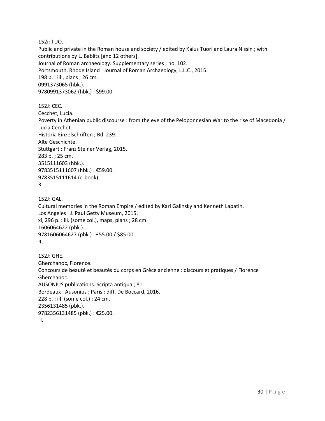152i: TUO.

Public and private in the Roman house and society / edited by Kaius Tuori and Laura Nissin ; with contributions by L. Bablitz [and 12 others]. Journal of Roman archaeology. Supplementary series ; no. 102. Portsmouth, Rhode Island : Journal of Roman Archaeology, L.L.C., 2015. 198 p. : ill., plans ; 26 cm. 0991373065 (hbk.). 9780991373062 (hbk.) : \$99.00.

152J: CEC.

Cecchet, Lucia. Poverty in Athenian public discourse : from the eve of the Peloponnesian War to the rise of Macedonia / Lucia Cecchet. Historia Einzelschriften ; Bd. 239. Alte Geschichte. Stuttgart : Franz Steiner Verlag, 2015. 283 p. ; 25 cm. 3515111603 (hbk.). 9783515111607 (hbk.) : €59.00. 9783515111614 (e-book). R.

152J: GAL. Cultural memories in the Roman Empire / edited by Karl Galinsky and Kenneth Lapatin. Los Angeles : J. Paul Getty Museum, 2015. xi, 296 p. : ill. (some col.), maps, plans ; 28 cm. 1606064622 (pbk.). 9781606064627 (pbk.) : £55.00 / \$85.00. R.

152J: GHE. Gherchanoc, Florence. Concours de beauté et beautés du corps en Grèce ancienne : discours et pratiques / Florence Gherchanoc. AUSONIUS publications. Scripta antiqua ; 81. Bordeaux : Ausonius ; Paris : diff. De Boccard, 2016. 228 p. : ill. (some col.) ; 24 cm. 2356131485 (pbk.). 9782356131485 (pbk.) : €25.00. H.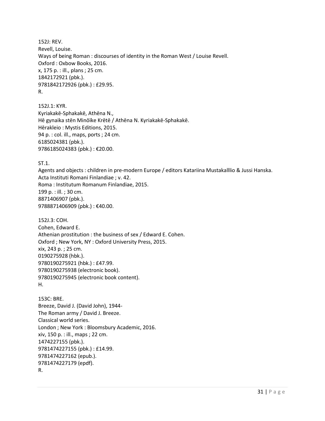152J: REV. Revell, Louise. Ways of being Roman : discourses of identity in the Roman West / Louise Revell. Oxford : Oxbow Books, 2016. x, 175 p. : ill., plans ; 25 cm. 1842172921 (pbk.). 9781842172926 (pbk.) : £29.95. R.

152J.1: KYR. Kyriakakē-Sphakakē, Athēna N., Hē gynaika stēn Minōïke Krētē / Athēna N. Kyriakakē-Sphakakē. Hērakleio : Mystis Editions, 2015. 94 p. : col. ill., maps, ports ; 24 cm. 6185024381 (pbk.). 9786185024383 (pbk.) : €20.00.

ST.1.

Agents and objects : children in pre-modern Europe / editors Katariina Mustakalllio & Jussi Hanska. Acta Instituti Romani Finlandiae ; v. 42. Roma : Institutum Romanum Finlandiae, 2015. 199 p. : ill. ; 30 cm. 8871406907 (pbk.). 9788871406909 (pbk.) : €40.00.

152J.3: COH. Cohen, Edward E. Athenian prostitution : the business of sex / Edward E. Cohen. Oxford ; New York, NY : Oxford University Press, 2015. xix, 243 p. ; 25 cm. 0190275928 (hbk.). 9780190275921 (hbk.) : £47.99. 9780190275938 (electronic book). 9780190275945 (electronic book content). H.

153C: BRE. Breeze, David J. (David John), 1944- The Roman army / David J. Breeze. Classical world series. London ; New York : Bloomsbury Academic, 2016. xiv, 150 p. : ill., maps ; 22 cm. 1474227155 (pbk.). 9781474227155 (pbk.) : £14.99. 9781474227162 (epub.). 9781474227179 (epdf). R.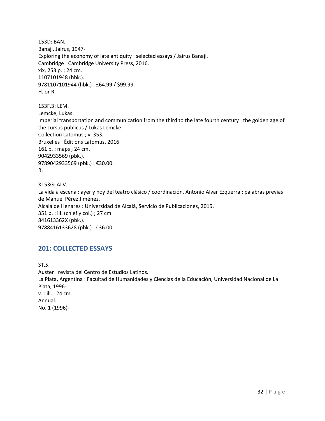153D: BAN. Banaji, Jairus, 1947- Exploring the economy of late antiquity : selected essays / Jairus Banaji. Cambridge : Cambridge University Press, 2016. xix, 253 p. ; 24 cm. 1107101948 (hbk.). 9781107101944 (hbk.) : £64.99 / \$99.99. H. or R.

153F.3: LEM. Lemcke, Lukas. Imperial transportation and communication from the third to the late fourth century : the golden age of the cursus publicus / Lukas Lemcke. Collection Latomus ; v. 353. Bruxelles : Éditions Latomus, 2016. 161 p. : maps ; 24 cm. 9042933569 (pbk.). 9789042933569 (pbk.) : €30.00. R.

X153G: ALV. La vida a escena : ayer y hoy del teatro clásico / coordinación, Antonio Alvar Ezquerra ; palabras previas de Manuel Pérez Jiménez. Alcalá de Henares : Universidad de Alcalá, Servicio de Publicaciones, 2015. 351 p. : ill. (chiefly col.) ; 27 cm. 841613362X (pbk.). 9788416133628 (pbk.): €36.00.

## <span id="page-31-0"></span>**201: COLLECTED ESSAYS**

ST.5. Auster : revista del Centro de Estudios Latinos. La Plata, Argentina : Facultad de Humanidades y Ciencias de la Educación, Universidad Nacional de La Plata, 1996 v. : ill. ; 24 cm. Annual. No. 1 (1996)-